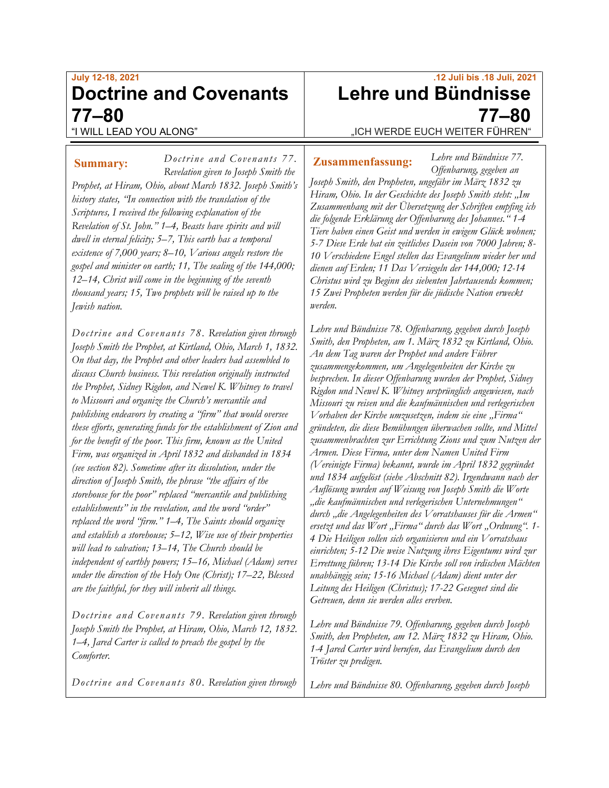# **July 12-18, 2021 Doctrine and Covenants 77–80** "I WILL LEAD YOU ALONG"

*Doctrine and Covenants 77.*

*Revelation given to Joseph Smith the Prophet, at Hiram, Ohio, about March 1832. Joseph Smith's history states, "In connection with the translation of the Scriptures, I received the following explanation of the Revelation of St. John." 1–4, Beasts have spirits and will dwell in eternal felicity; 5–7, This earth has a temporal existence of 7,000 years; 8–10, Various angels restore the gospel and minister on earth; 11, The sealing of the 144,000; 12–14, Christ will come in the beginning of the seventh thousand years; 15, Two prophets will be raised up to the Jewish nation.*

*Doctrine and Covenants 78. Revelation given through Joseph Smith the Prophet, at Kirtland, Ohio, March 1, 1832. On that day, the Prophet and other leaders had assembled to discuss Church business. This revelation originally instructed the Prophet, Sidney Rigdon, and Newel K. Whitney to travel to Missouri and organize the Church's mercantile and publishing endeavors by creating a "firm" that would oversee these efforts, generating funds for the establishment of Zion and for the benefit of the poor. This firm, known as the United Firm, was organized in April 1832 and disbanded in 1834 (see section 82). Sometime after its dissolution, under the direction of Joseph Smith, the phrase "the affairs of the storehouse for the poor" replaced "mercantile and publishing establishments" in the revelation, and the word "order" replaced the word "firm." 1–4, The Saints should organize and establish a storehouse; 5–12, Wise use of their properties will lead to salvation; 13–14, The Church should be independent of earthly powers; 15–16, Michael (Adam) serves under the direction of the Holy One (Christ); 17–22, Blessed are the faithful, for they will inherit all things.*

*Doctrine and Covenants 79. Revelation given through Joseph Smith the Prophet, at Hiram, Ohio, March 12, 1832. 1–4, Jared Carter is called to preach the gospel by the Comforter.*

*Doctrine and Covenants 80. Revelation given through* 

# **.12 Juli bis .18 Juli, 2021 Lehre und Bündnisse 77–80** "ICH WERDE EUCH WEITER FÜHREN"

**Summary:** Doctrine and Covenants // **Zusammenfassung:** 

*Lehre und Bündnisse 77. Offenbarung, gegeben an* 

*Joseph Smith, den Propheten, ungefähr im März 1832 zu Hiram, Ohio. In der Geschichte des Joseph Smith steht: "Im Zusammenhang mit der Übersetzung der Schriften empfing ich die folgende Erklärung der Offenbarung des Johannes." 1-4 Tiere haben einen Geist und werden in ewigem Glück wohnen; 5-7 Diese Erde hat ein zeitliches Dasein von 7000 Jahren; 8- 10 Verschiedene Engel stellen das Evangelium wieder her und dienen auf Erden; 11 Das Versiegeln der 144,000; 12-14 Christus wird zu Beginn des siebenten Jahrtausends kommen; 15 Zwei Propheten werden für die jüdische Nation erweckt werden.*

*Lehre und Bündnisse 78. Offenbarung, gegeben durch Joseph Smith, den Propheten, am 1. März 1832 zu Kirtland, Ohio. An dem Tag waren der Prophet und andere Führer zusammengekommen, um Angelegenheiten der Kirche zu besprechen. In dieser Offenbarung wurden der Prophet, Sidney Rigdon und Newel K. Whitney ursprünglich angewiesen, nach Missouri zu reisen und die kaufmännischen und verlegerischen Vorhaben der Kirche umzusetzen, indem sie eine "Firma" gründeten, die diese Bemühungen überwachen sollte, und Mittel zusammenbrachten zur Errichtung Zions und zum Nutzen der Armen. Diese Firma, unter dem Namen United Firm (Vereinigte Firma) bekannt, wurde im April 1832 gegründet und 1834 aufgelöst (siehe Abschnitt 82). Irgendwann nach der Auflösung wurden auf Weisung von Joseph Smith die Worte "die kaufmännischen und verlegerischen Unternehmungen" durch "die Angelegenheiten des Vorratshauses für die Armen" ersetzt und das Wort "Firma" durch das Wort "Ordnung". 1- 4 Die Heiligen sollen sich organisieren und ein Vorratshaus einrichten; 5-12 Die weise Nutzung ihres Eigentums wird zur Errettung führen; 13-14 Die Kirche soll von irdischen Mächten unabhängig sein; 15-16 Michael (Adam) dient unter der Leitung des Heiligen (Christus); 17-22 Gesegnet sind die Getreuen, denn sie werden alles ererben.*

*Lehre und Bündnisse 79. Offenbarung, gegeben durch Joseph Smith, den Propheten, am 12. März 1832 zu Hiram, Ohio. 1-4 Jared Carter wird berufen, das Evangelium durch den Tröster zu predigen.*

*Lehre und Bündnisse 80. Offenbarung, gegeben durch Joseph*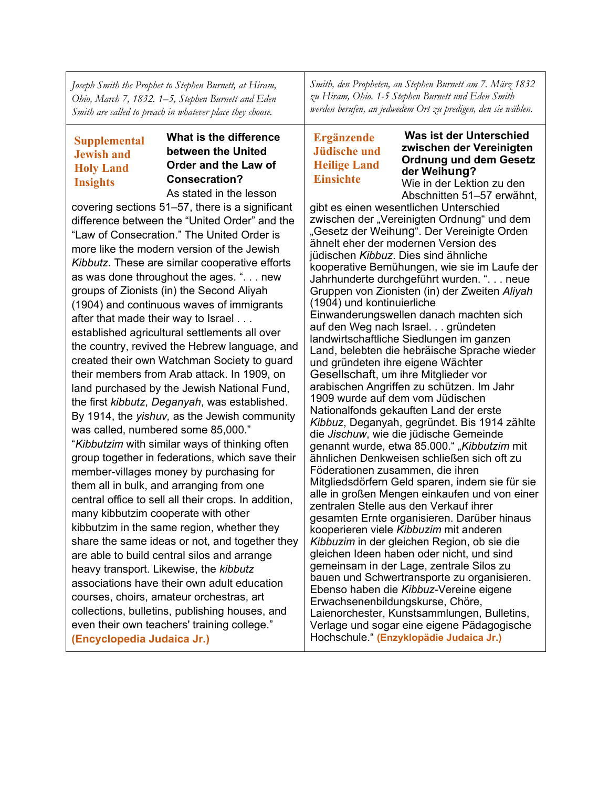*Joseph Smith the Prophet to Stephen Burnett, at Hiram, Ohio, March 7, 1832. 1–5, Stephen Burnett and Eden Smith are called to preach in whatever place they choose.*

#### **Supplemental Jewish and Holy Land Insights**

#### **What is the difference between the United Order and the Law of Consecration?** As stated in the lesson

covering sections 51–57, there is a significant difference between the "United Order" and the "Law of Consecration." The United Order is more like the modern version of the Jewish *Kibbutz*. These are similar cooperative efforts as was done throughout the ages. ". . . new groups of Zionists (in) the Second Aliyah (1904) and continuous waves of immigrants after that made their way to Israel . . . established agricultural settlements all over the country, revived the Hebrew language, and created their own Watchman Society to guard their members from Arab attack. In 1909, on land purchased by the Jewish National Fund, the first *kibbutz*, *Deganyah*, was established. By 1914, the *yishuv,* as the Jewish community was called, numbered some 85,000." "*Kibbutzim* with similar ways of thinking often group together in federations, which save their member-villages money by purchasing for them all in bulk, and arranging from one central office to sell all their crops. In addition, many kibbutzim cooperate with other kibbutzim in the same region, whether they share the same ideas or not, and together they are able to build central silos and arrange heavy transport. Likewise, the *kibbutz* associations have their own adult education courses, choirs, amateur orchestras, art collections, bulletins, publishing houses, and even their own teachers' training college." **(Encyclopedia Judaica Jr.)**

*Smith, den Propheten, an Stephen Burnett am 7. März 1832 zu Hiram, Ohio. 1-5 Stephen Burnett und Eden Smith werden berufen, an jedwedem Ort zu predigen, den sie wählen.*

## **Ergänzende Jüdische und Heilige Land Einsichte**

**Was ist der Unterschied zwischen der Vereinigten Ordnung und dem Gesetz der Weihung?**

Wie in der Lektion zu den Abschnitten 51–57 erwähnt,

gibt es einen wesentlichen Unterschied zwischen der "Vereinigten Ordnung" und dem "Gesetz der Weihung". Der Vereinigte Orden ähnelt eher der modernen Version des jüdischen *Kibbuz*. Dies sind ähnliche kooperative Bemühungen, wie sie im Laufe der Jahrhunderte durchgeführt wurden. ". . . neue Gruppen von Zionisten (in) der Zweiten *Aliyah* (1904) und kontinuierliche Einwanderungswellen danach machten sich auf den Weg nach Israel. . . gründeten landwirtschaftliche Siedlungen im ganzen Land, belebten die hebräische Sprache wieder und gründeten ihre eigene Wächter Gesellschaft, um ihre Mitglieder vor arabischen Angriffen zu schützen. Im Jahr 1909 wurde auf dem vom Jüdischen Nationalfonds gekauften Land der erste *Kibbuz*, Deganyah, gegründet. Bis 1914 zählte die *Jischuw*, wie die jüdische Gemeinde genannt wurde, etwa 85.000." "Kibbutzim mit ähnlichen Denkweisen schließen sich oft zu Föderationen zusammen, die ihren Mitgliedsdörfern Geld sparen, indem sie für sie alle in großen Mengen einkaufen und von einer zentralen Stelle aus den Verkauf ihrer gesamten Ernte organisieren. Darüber hinaus kooperieren viele *Kibbuzim* mit anderen *Kibbuzim* in der gleichen Region, ob sie die gleichen Ideen haben oder nicht, und sind gemeinsam in der Lage, zentrale Silos zu bauen und Schwertransporte zu organisieren. Ebenso haben die *Kibbuz*-Vereine eigene Erwachsenenbildungskurse, Chöre, Laienorchester, Kunstsammlungen, Bulletins, Verlage und sogar eine eigene Pädagogische Hochschule." **(Enzyklopädie Judaica Jr.)**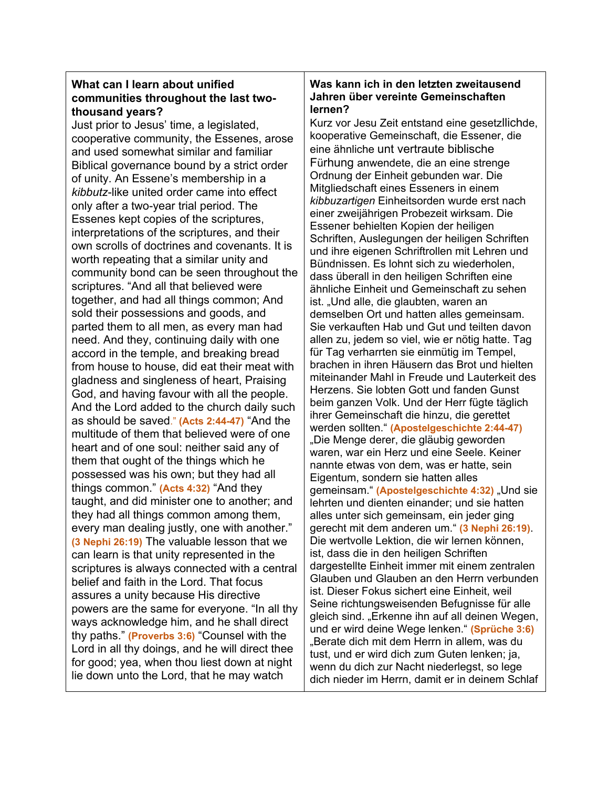### **What can I learn about unified communities throughout the last twothousand years?**

Just prior to Jesus' time, a legislated, cooperative community, the Essenes, arose and used somewhat similar and familiar Biblical governance bound by a strict order of unity. An Essene's membership in a *kibbutz*-like united order came into effect only after a two-year trial period. The Essenes kept copies of the scriptures, interpretations of the scriptures, and their own scrolls of doctrines and covenants. It is worth repeating that a similar unity and community bond can be seen throughout the scriptures. "And all that believed were together, and had all things common; And sold their possessions and goods, and parted them to all men, as every man had need. And they, continuing daily with one accord in the temple, and breaking bread from house to house, did eat their meat with gladness and singleness of heart, Praising God, and having favour with all the people. And the Lord added to the church daily such as should be saved." **(Acts 2:44-47)** "And the multitude of them that believed were of one heart and of one soul: neither said any of them that ought of the things which he possessed was his own; but they had all things common." **(Acts 4:32)** "And they taught, and did minister one to another; and they had all things common among them, every man dealing justly, one with another." **(3 Nephi 26:19)** The valuable lesson that we can learn is that unity represented in the scriptures is always connected with a central belief and faith in the Lord. That focus assures a unity because His directive powers are the same for everyone. "In all thy ways acknowledge him, and he shall direct thy paths." **(Proverbs 3:6)** "Counsel with the Lord in all thy doings, and he will direct thee for good; yea, when thou liest down at night lie down unto the Lord, that he may watch

### **Was kann ich in den letzten zweitausend Jahren über vereinte Gemeinschaften lernen?**

Kurz vor Jesu Zeit entstand eine gesetzllichde, kooperative Gemeinschaft, die Essener, die eine ähnliche unt vertraute biblische Fürhung anwendete, die an eine strenge Ordnung der Einheit gebunden war. Die Mitgliedschaft eines Esseners in einem *kibbuzartigen* Einheitsorden wurde erst nach einer zweijährigen Probezeit wirksam. Die Essener behielten Kopien der heiligen Schriften, Auslegungen der heiligen Schriften und ihre eigenen Schriftrollen mit Lehren und Bündnissen. Es lohnt sich zu wiederholen, dass überall in den heiligen Schriften eine ähnliche Einheit und Gemeinschaft zu sehen ist. "Und alle, die glaubten, waren an demselben Ort und hatten alles gemeinsam. Sie verkauften Hab und Gut und teilten davon allen zu, jedem so viel, wie er nötig hatte. Tag für Tag verharrten sie einmütig im Tempel, brachen in ihren Häusern das Brot und hielten miteinander Mahl in Freude und Lauterkeit des Herzens. Sie lobten Gott und fanden Gunst beim ganzen Volk. Und der Herr fügte täglich ihrer Gemeinschaft die hinzu, die gerettet werden sollten." **(Apostelgeschichte 2:44-47)** "Die Menge derer, die gläubig geworden waren, war ein Herz und eine Seele. Keiner nannte etwas von dem, was er hatte, sein Eigentum, sondern sie hatten alles gemeinsam." (Apostelgeschichte 4:32) "Und sie lehrten und dienten einander; und sie hatten alles unter sich gemeinsam, ein jeder ging gerecht mit dem anderen um." **(3 Nephi 26:19)**. Die wertvolle Lektion, die wir lernen können, ist, dass die in den heiligen Schriften dargestellte Einheit immer mit einem zentralen Glauben und Glauben an den Herrn verbunden ist. Dieser Fokus sichert eine Einheit, weil Seine richtungsweisenden Befugnisse für alle gleich sind. "Erkenne ihn auf all deinen Wegen, und er wird deine Wege lenken." **(Sprüche 3:6)** "Berate dich mit dem Herrn in allem, was du tust, und er wird dich zum Guten lenken; ja, wenn du dich zur Nacht niederlegst, so lege dich nieder im Herrn, damit er in deinem Schlaf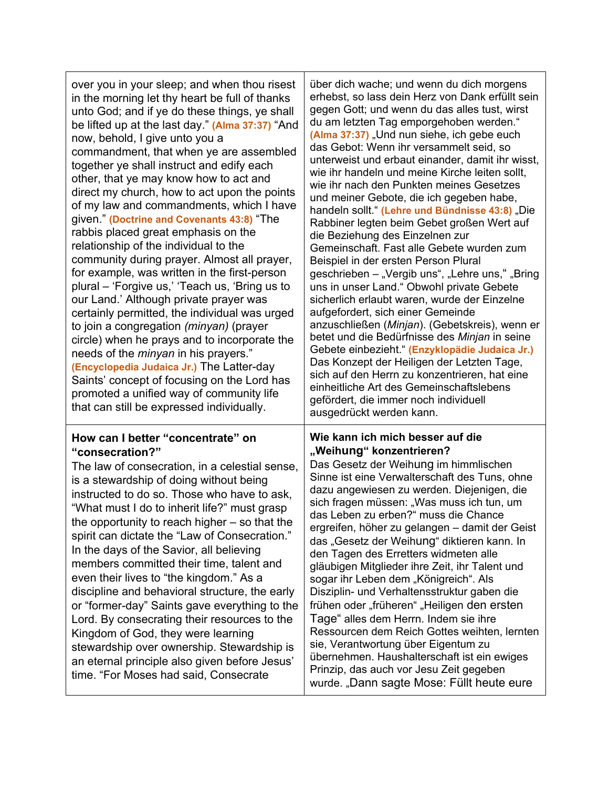| over you in your sleep; and when thou risest<br>in the morning let thy heart be full of thanks<br>unto God; and if ye do these things, ye shall<br>be lifted up at the last day." (Alma 37:37) "And<br>now, behold, I give unto you a<br>commandment, that when ye are assembled<br>together ye shall instruct and edify each<br>other, that ye may know how to act and<br>direct my church, how to act upon the points<br>of my law and commandments, which I have<br>given." (Doctrine and Covenants 43:8) "The<br>rabbis placed great emphasis on the<br>relationship of the individual to the<br>community during prayer. Almost all prayer,<br>for example, was written in the first-person<br>plural – 'Forgive us,' 'Teach us, 'Bring us to<br>our Land.' Although private prayer was<br>certainly permitted, the individual was urged<br>to join a congregation (minyan) (prayer<br>circle) when he prays and to incorporate the<br>needs of the <i>minyan</i> in his prayers."<br>(Encyclopedia Judaica Jr.) The Latter-day<br>Saints' concept of focusing on the Lord has<br>promoted a unified way of community life<br>that can still be expressed individually. | über dich wache; und wenn du dich morgens<br>erhebst, so lass dein Herz von Dank erfüllt sein<br>gegen Gott; und wenn du das alles tust, wirst<br>du am letzten Tag emporgehoben werden."<br>(Alma 37:37) "Und nun siehe, ich gebe euch<br>das Gebot: Wenn ihr versammelt seid, so<br>unterweist und erbaut einander, damit ihr wisst,<br>wie ihr handeln und meine Kirche leiten sollt,<br>wie ihr nach den Punkten meines Gesetzes<br>und meiner Gebote, die ich gegeben habe,<br>handeln sollt." (Lehre und Bündnisse 43:8) "Die<br>Rabbiner legten beim Gebet großen Wert auf<br>die Beziehung des Einzelnen zur<br>Gemeinschaft. Fast alle Gebete wurden zum<br>Beispiel in der ersten Person Plural<br>geschrieben – "Vergib uns", "Lehre uns," "Bring<br>uns in unser Land." Obwohl private Gebete<br>sicherlich erlaubt waren, wurde der Einzelne<br>aufgefordert, sich einer Gemeinde<br>anzuschließen (Minjan). (Gebetskreis), wenn er<br>betet und die Bedürfnisse des Minjan in seine<br>Gebete einbezieht." (Enzyklopädie Judaica Jr.)<br>Das Konzept der Heiligen der Letzten Tage,<br>sich auf den Herrn zu konzentrieren, hat eine<br>einheitliche Art des Gemeinschaftslebens<br>gefördert, die immer noch individuell<br>ausgedrückt werden kann. |
|------------------------------------------------------------------------------------------------------------------------------------------------------------------------------------------------------------------------------------------------------------------------------------------------------------------------------------------------------------------------------------------------------------------------------------------------------------------------------------------------------------------------------------------------------------------------------------------------------------------------------------------------------------------------------------------------------------------------------------------------------------------------------------------------------------------------------------------------------------------------------------------------------------------------------------------------------------------------------------------------------------------------------------------------------------------------------------------------------------------------------------------------------------------------------|---------------------------------------------------------------------------------------------------------------------------------------------------------------------------------------------------------------------------------------------------------------------------------------------------------------------------------------------------------------------------------------------------------------------------------------------------------------------------------------------------------------------------------------------------------------------------------------------------------------------------------------------------------------------------------------------------------------------------------------------------------------------------------------------------------------------------------------------------------------------------------------------------------------------------------------------------------------------------------------------------------------------------------------------------------------------------------------------------------------------------------------------------------------------------------------------------------------------------------------------------------------------|
| How can I better "concentrate" on<br>"consecration?"<br>The law of consecration, in a celestial sense,<br>is a stewardship of doing without being<br>instructed to do so. Those who have to ask,<br>"What must I do to inherit life?" must grasp<br>the opportunity to reach higher - so that the<br>spirit can dictate the "Law of Consecration."<br>In the days of the Savior, all believing<br>members committed their time, talent and<br>even their lives to "the kingdom." As a<br>discipline and behavioral structure, the early<br>or "former-day" Saints gave everything to the<br>Lord. By consecrating their resources to the<br>Kingdom of God, they were learning<br>stewardship over ownership. Stewardship is<br>an eternal principle also given before Jesus'<br>time. "For Moses had said, Consecrate                                                                                                                                                                                                                                                                                                                                                       | Wie kann ich mich besser auf die<br>"Weihung" konzentrieren?<br>Das Gesetz der Weihung im himmlischen<br>Sinne ist eine Verwalterschaft des Tuns, ohne<br>dazu angewiesen zu werden. Diejenigen, die<br>sich fragen müssen: "Was muss ich tun, um<br>das Leben zu erben?" muss die Chance<br>ergreifen, höher zu gelangen - damit der Geist<br>das "Gesetz der Weihung" diktieren kann. In<br>den Tagen des Erretters widmeten alle<br>gläubigen Mitglieder ihre Zeit, ihr Talent und<br>sogar ihr Leben dem "Königreich". Als<br>Disziplin- und Verhaltensstruktur gaben die<br>frühen oder "früheren" "Heiligen den ersten<br>Tage" alles dem Herrn. Indem sie ihre<br>Ressourcen dem Reich Gottes weihten, lernten<br>sie, Verantwortung über Eigentum zu<br>übernehmen. Haushalterschaft ist ein ewiges<br>Prinzip, das auch vor Jesu Zeit gegeben<br>wurde. "Dann sagte Mose: Füllt heute eure                                                                                                                                                                                                                                                                                                                                                                 |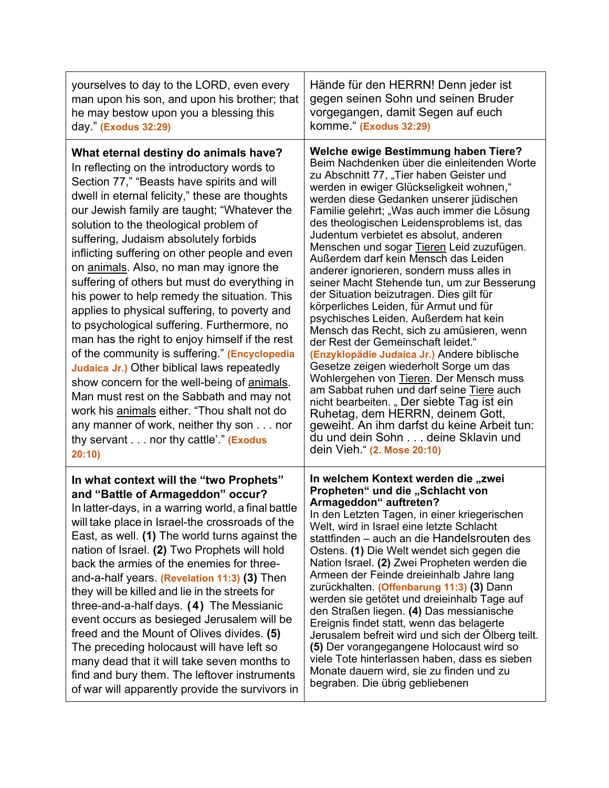| yourselves to day to the LORD, even every<br>man upon his son, and upon his brother; that<br>he may bestow upon you a blessing this<br>day." (Exodus 32:29)                                                                                                                                                                                                                                                                                                                                                                                                                                                                                                                                                                                                                                                                                                                                                                                                                                                  | Hände für den HERRN! Denn jeder ist<br>gegen seinen Sohn und seinen Bruder<br>vorgegangen, damit Segen auf euch<br>komme." (Exodus 32:29)                                                                                                                                                                                                                                                                                                                                                                                                                                                                                                                                                                                                                                                                                                                                                                                                                                                                                                                                                                                                                     |
|--------------------------------------------------------------------------------------------------------------------------------------------------------------------------------------------------------------------------------------------------------------------------------------------------------------------------------------------------------------------------------------------------------------------------------------------------------------------------------------------------------------------------------------------------------------------------------------------------------------------------------------------------------------------------------------------------------------------------------------------------------------------------------------------------------------------------------------------------------------------------------------------------------------------------------------------------------------------------------------------------------------|---------------------------------------------------------------------------------------------------------------------------------------------------------------------------------------------------------------------------------------------------------------------------------------------------------------------------------------------------------------------------------------------------------------------------------------------------------------------------------------------------------------------------------------------------------------------------------------------------------------------------------------------------------------------------------------------------------------------------------------------------------------------------------------------------------------------------------------------------------------------------------------------------------------------------------------------------------------------------------------------------------------------------------------------------------------------------------------------------------------------------------------------------------------|
| What eternal destiny do animals have?<br>In reflecting on the introductory words to<br>Section 77," "Beasts have spirits and will<br>dwell in eternal felicity," these are thoughts<br>our Jewish family are taught; "Whatever the<br>solution to the theological problem of<br>suffering, Judaism absolutely forbids<br>inflicting suffering on other people and even<br>on animals. Also, no man may ignore the<br>suffering of others but must do everything in<br>his power to help remedy the situation. This<br>applies to physical suffering, to poverty and<br>to psychological suffering. Furthermore, no<br>man has the right to enjoy himself if the rest<br>of the community is suffering." (Encyclopedia<br>Judaica Jr.) Other biblical laws repeatedly<br>show concern for the well-being of animals.<br>Man must rest on the Sabbath and may not<br>work his animals either. "Thou shalt not do<br>any manner of work, neither thy son nor<br>thy servant nor thy cattle'." (Exodus<br>20:10) | <b>Welche ewige Bestimmung haben Tiere?</b><br>Beim Nachdenken über die einleitenden Worte<br>zu Abschnitt 77, "Tier haben Geister und<br>werden in ewiger Glückseligkeit wohnen,"<br>werden diese Gedanken unserer jüdischen<br>Familie gelehrt; "Was auch immer die Lösung<br>des theologischen Leidensproblems ist, das<br>Judentum verbietet es absolut, anderen<br>Menschen und sogar Tieren Leid zuzufügen.<br>Außerdem darf kein Mensch das Leiden<br>anderer ignorieren, sondern muss alles in<br>seiner Macht Stehende tun, um zur Besserung<br>der Situation beizutragen. Dies gilt für<br>körperliches Leiden, für Armut und für<br>psychisches Leiden. Außerdem hat kein<br>Mensch das Recht, sich zu amüsieren, wenn<br>der Rest der Gemeinschaft leidet."<br>(Enzyklopädie Judaica Jr.) Andere biblische<br>Gesetze zeigen wiederholt Sorge um das<br>Wohlergehen von Tieren. Der Mensch muss<br>am Sabbat ruhen und darf seine Tiere auch<br>nicht bearbeiten. "Der siebte Tag ist ein<br>Ruhetag, dem HERRN, deinem Gott,<br>geweiht. An ihm darfst du keine Arbeit tun:<br>du und dein Sohn deine Sklavin und<br>dein Vieh." (2. Mose 20:10) |
| In what context will the "two Prophets"<br>and "Battle of Armageddon" occur?<br>In latter-days, in a warring world, a final battle<br>will take place in Israel-the crossroads of the<br>East, as well. (1) The world turns against the<br>nation of Israel. (2) Two Prophets will hold<br>back the armies of the enemies for three-<br>and-a-half years. (Revelation 11:3) (3) Then<br>they will be killed and lie in the streets for<br>three-and-a-half days. (4) The Messianic<br>event occurs as besieged Jerusalem will be<br>freed and the Mount of Olives divides. (5)<br>The preceding holocaust will have left so<br>many dead that it will take seven months to<br>find and bury them. The leftover instruments<br>of war will apparently provide the survivors in                                                                                                                                                                                                                                | In welchem Kontext werden die "zwei<br>Propheten" und die "Schlacht von<br>Armageddon" auftreten?<br>In den Letzten Tagen, in einer kriegerischen<br>Welt, wird in Israel eine letzte Schlacht<br>stattfinden – auch an die Handelsrouten des<br>Ostens. (1) Die Welt wendet sich gegen die<br>Nation Israel. (2) Zwei Propheten werden die<br>Armeen der Feinde dreieinhalb Jahre lang<br>zurückhalten. (Offenbarung 11:3) (3) Dann<br>werden sie getötet und dreieinhalb Tage auf<br>den Straßen liegen. (4) Das messianische<br>Ereignis findet statt, wenn das belagerte<br>Jerusalem befreit wird und sich der Ölberg teilt.<br>(5) Der vorangegangene Holocaust wird so<br>viele Tote hinterlassen haben, dass es sieben<br>Monate dauern wird, sie zu finden und zu<br>begraben. Die übrig gebliebenen                                                                                                                                                                                                                                                                                                                                                 |